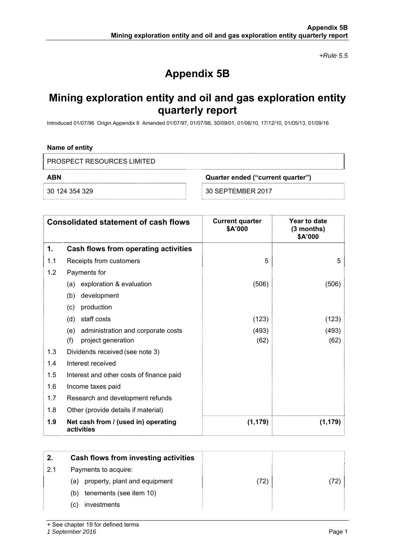*+Rule 5.5* 

# **Appendix 5B**

## **Mining exploration entity and oil and gas exploration entity quarterly report**

Introduced 01/07/96 Origin Appendix 8 Amended 01/07/97, 01/07/98, 30/09/01, 01/06/10, 17/12/10, 01/05/13, 01/09/16

#### **Name of entity**

PROSPECT RESOURCES LIMITED

**ABN Quarter ended ("current quarter")** 

30 124 354 329 30 SEPTEMBER 2017

|     | <b>Consolidated statement of cash flows</b>                            | <b>Current quarter</b><br>\$A'000 | Year to date<br>$(3$ months)<br>\$A'000 |
|-----|------------------------------------------------------------------------|-----------------------------------|-----------------------------------------|
| 1.  | Cash flows from operating activities                                   |                                   |                                         |
| 1.1 | Receipts from customers                                                | 5                                 | 5                                       |
| 1.2 | Payments for                                                           |                                   |                                         |
|     | exploration & evaluation<br>(a)                                        | (506)                             | (506)                                   |
|     | development<br>(b)                                                     |                                   |                                         |
|     | production<br>(c)                                                      |                                   |                                         |
|     | staff costs<br>(d)                                                     | (123)                             | (123)                                   |
|     | administration and corporate costs<br>(e)<br>(f)<br>project generation | (493)<br>(62)                     | (493)<br>(62)                           |
| 1.3 | Dividends received (see note 3)                                        |                                   |                                         |
| 1.4 | Interest received                                                      |                                   |                                         |
| 1.5 | Interest and other costs of finance paid                               |                                   |                                         |
| 1.6 | Income taxes paid                                                      |                                   |                                         |
| 1.7 | Research and development refunds                                       |                                   |                                         |
| 1.8 | Other (provide details if material)                                    |                                   |                                         |
| 1.9 | Net cash from / (used in) operating<br>activities                      | (1, 179)                          | (1, 179)                                |

| 2.  | Cash flows from investing activities |      |  |
|-----|--------------------------------------|------|--|
| 2.1 | Payments to acquire:                 |      |  |
|     | property, plant and equipment<br>(a) | (72) |  |
|     | tenements (see item 10)<br>(b)       |      |  |
|     | investments<br>(C)                   |      |  |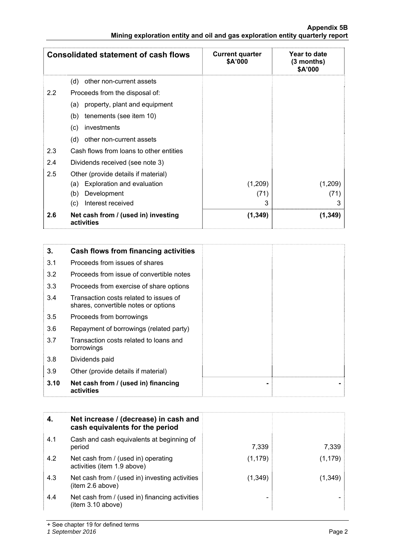|     | <b>Consolidated statement of cash flows</b>       | <b>Current quarter</b><br>\$A'000 | Year to date<br>(3 months)<br>\$A'000 |
|-----|---------------------------------------------------|-----------------------------------|---------------------------------------|
|     | (d)<br>other non-current assets                   |                                   |                                       |
| 2.2 | Proceeds from the disposal of:                    |                                   |                                       |
|     | property, plant and equipment<br>(a)              |                                   |                                       |
|     | tenements (see item 10)<br>(b)                    |                                   |                                       |
|     | investments<br>(c)                                |                                   |                                       |
|     | (d)<br>other non-current assets                   |                                   |                                       |
| 2.3 | Cash flows from loans to other entities           |                                   |                                       |
| 2.4 | Dividends received (see note 3)                   |                                   |                                       |
| 2.5 | Other (provide details if material)               |                                   |                                       |
|     | Exploration and evaluation<br>(a)                 | (1,209)                           | (1,209)                               |
|     | Development<br>(b)                                | (71)                              | (71)                                  |
|     | Interest received<br>(c)                          | 3                                 | 3                                     |
| 2.6 | Net cash from / (used in) investing<br>activities | (1, 349)                          | (1, 349)                              |

| 3.   | Cash flows from financing activities                                           |
|------|--------------------------------------------------------------------------------|
| 3.1  | Proceeds from issues of shares                                                 |
| 3.2  | Proceeds from issue of convertible notes                                       |
| 3.3  | Proceeds from exercise of share options                                        |
| 3.4  | Transaction costs related to issues of<br>shares, convertible notes or options |
| 3.5  | Proceeds from borrowings                                                       |
| 3.6  | Repayment of borrowings (related party)                                        |
| 3.7  | Transaction costs related to loans and<br>borrowings                           |
| 3.8  | Dividends paid                                                                 |
| 3.9  | Other (provide details if material)                                            |
| 3.10 | Net cash from / (used in) financing<br>activities                              |

| 4.  | Net increase / (decrease) in cash and<br>cash equivalents for the period |          |          |
|-----|--------------------------------------------------------------------------|----------|----------|
| 4.1 | Cash and cash equivalents at beginning of<br>period                      | 7,339    | 7,339    |
| 4.2 | Net cash from / (used in) operating<br>activities (item 1.9 above)       | (1, 179) | (1, 179) |
| 4.3 | Net cash from / (used in) investing activities<br>(item 2.6 above)       | (1,349)  | (1,349)  |
| 4.4 | Net cash from / (used in) financing activities<br>(item 3.10 above)      |          |          |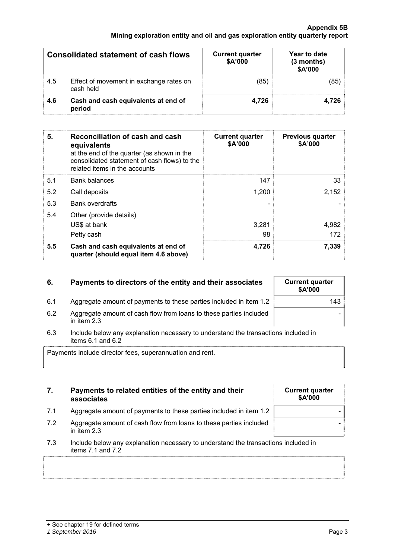#### *1 September 2016* Page 3

| <b>Consolidated statement of cash flows</b> |                                                      | <b>Current quarter</b><br>\$A'000 | Year to date<br>$(3$ months)<br>\$A'000 |  |
|---------------------------------------------|------------------------------------------------------|-----------------------------------|-----------------------------------------|--|
| 4.5                                         | Effect of movement in exchange rates on<br>cash held | (85)                              | (85)                                    |  |
| 4.6                                         | Cash and cash equivalents at end of<br>period        | 4,726                             | 4.726                                   |  |

| 5.  | Reconciliation of cash and cash<br>equivalents<br>at the end of the quarter (as shown in the<br>consolidated statement of cash flows) to the<br>related items in the accounts | <b>Current quarter</b><br>\$A'000 | <b>Previous quarter</b><br>\$A'000 |
|-----|-------------------------------------------------------------------------------------------------------------------------------------------------------------------------------|-----------------------------------|------------------------------------|
| 5.1 | <b>Bank balances</b>                                                                                                                                                          | 147                               | 33                                 |
| 5.2 | Call deposits                                                                                                                                                                 | 1,200                             | 2,152                              |
| 5.3 | <b>Bank overdrafts</b>                                                                                                                                                        |                                   |                                    |
| 5.4 | Other (provide details)                                                                                                                                                       |                                   |                                    |
|     | US\$ at bank                                                                                                                                                                  | 3,281                             | 4,982                              |
|     | Petty cash                                                                                                                                                                    | 98                                | 172                                |
| 5.5 | Cash and cash equivalents at end of<br>quarter (should equal item 4.6 above)                                                                                                  | 4,726                             | 7,339                              |

| 6. | Payments to directors of the entity and their associates | <b>Current quarter</b><br><b>SA'000</b> |
|----|----------------------------------------------------------|-----------------------------------------|
|    |                                                          |                                         |

| 6.  | Payments to directors of the entity and their associates                            | <b>Current quarter</b><br><b>\$A'000</b> |
|-----|-------------------------------------------------------------------------------------|------------------------------------------|
| 6.1 | Aggregate amount of payments to these parties included in item 1.2                  | 143                                      |
| 6.2 | Aggregate amount of cash flow from loans to these parties included<br>in item $2.3$ |                                          |

- 6.2 Aggregate amount of cash flow from loans to these parties included in item 2.3
- 6.3 Include below any explanation necessary to understand the transactions included in items  $6.1$  and  $6.2$

Payments include director fees, superannuation and rent.

| 7. | Payments to related entities of the entity and their |
|----|------------------------------------------------------|
|    | associates                                           |

- 7.1 Aggregate amount of payments to these parties included in item 1.2  $\vert$
- 7.2 Aggregate amount of cash flow from loans to these parties included in item 2.3
- 7.3 Include below any explanation necessary to understand the transactions included in items 7.1 and 7.2

**Current quarter \$A'000**  -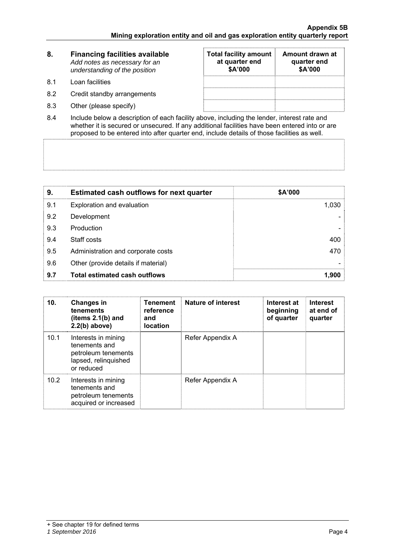| 8.   | <b>Financing facilities available</b><br>Add notes as necessary for an<br>understanding of the position | <b>Total facility amount</b><br>at quarter end<br>\$A'000 | Amount drawn at<br>quarter end<br>\$A'000 |
|------|---------------------------------------------------------------------------------------------------------|-----------------------------------------------------------|-------------------------------------------|
| -8.1 | Loan facilities                                                                                         |                                                           |                                           |
| 8.2  | Credit standby arrangements                                                                             |                                                           |                                           |
| 8.3  | Other (please specify)                                                                                  |                                                           |                                           |

8.4 Include below a description of each facility above, including the lender, interest rate and whether it is secured or unsecured. If any additional facilities have been entered into or are proposed to be entered into after quarter end, include details of those facilities as well.

| 9.  | <b>Estimated cash outflows for next quarter</b> | \$A'000 |
|-----|-------------------------------------------------|---------|
| 9.1 | Exploration and evaluation                      | 1,030   |
| 9.2 | Development                                     |         |
| 9.3 | Production                                      |         |
| 9.4 | Staff costs                                     | 400     |
| 9.5 | Administration and corporate costs              | 470     |
| 9.6 | Other (provide details if material)             |         |
| 9.7 | <b>Total estimated cash outflows</b>            | 1.900   |

| 10.  | <b>Changes in</b><br>tenements<br>(items $2.1(b)$ and<br>$2.2(b)$ above)                          | <b>Tenement</b><br>reference<br>and<br><b>location</b> | <b>Nature of interest</b> | Interest at<br>beginning<br>of quarter | <b>Interest</b><br>at end of<br>quarter |
|------|---------------------------------------------------------------------------------------------------|--------------------------------------------------------|---------------------------|----------------------------------------|-----------------------------------------|
| 10.1 | Interests in mining<br>tenements and<br>petroleum tenements<br>lapsed, relinquished<br>or reduced |                                                        | Refer Appendix A          |                                        |                                         |
| 10.2 | Interests in mining<br>tenements and<br>petroleum tenements<br>acquired or increased              |                                                        | Refer Appendix A          |                                        |                                         |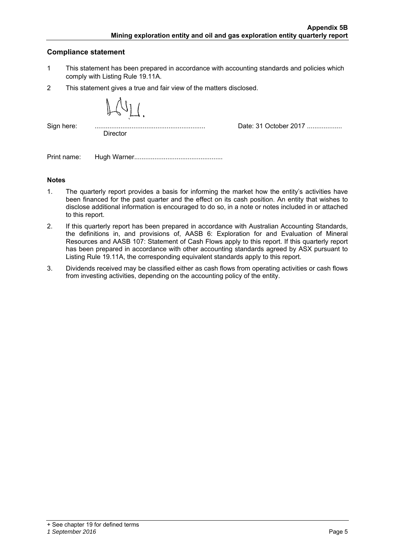#### **Compliance statement**

- 1 This statement has been prepared in accordance with accounting standards and policies which comply with Listing Rule 19.11A.
- 2 This statement gives a true and fair view of the matters disclosed.

| Sign here: |                 |                       |
|------------|-----------------|-----------------------|
|            |                 | Date: 31 October 2017 |
|            | <b>Director</b> |                       |
|            |                 |                       |

Print name: Hugh Warner................................................

#### **Notes**

- 1. The quarterly report provides a basis for informing the market how the entity's activities have been financed for the past quarter and the effect on its cash position. An entity that wishes to disclose additional information is encouraged to do so, in a note or notes included in or attached to this report.
- 2. If this quarterly report has been prepared in accordance with Australian Accounting Standards, the definitions in, and provisions of, AASB 6: Exploration for and Evaluation of Mineral Resources and AASB 107: Statement of Cash Flows apply to this report. If this quarterly report has been prepared in accordance with other accounting standards agreed by ASX pursuant to Listing Rule 19.11A, the corresponding equivalent standards apply to this report.
- 3. Dividends received may be classified either as cash flows from operating activities or cash flows from investing activities, depending on the accounting policy of the entity.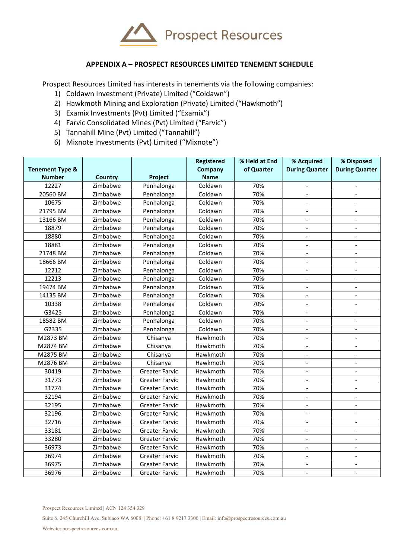

### **APPENDIX A – PROSPECT RESOURCES LIMITED TENEMENT SCHEDULE**

Prospect Resources Limited has interests in tenements via the following companies:

- 1) Coldawn Investment (Private) Limited ("Coldawn")
- 2) Hawkmoth Mining and Exploration (Private) Limited ("Hawkmoth")
- 3) Examix Investments (Pvt) Limited ("Examix")
- 4) Farvic Consolidated Mines (Pvt) Limited ("Farvic")
- 5) Tannahill Mine (Pvt) Limited ("Tannahill")
- 6) Mixnote Investments (Pvt) Limited ("Mixnote")

| <b>Tenement Type &amp;</b> |          |                       | Registered<br>Company | % Held at End<br>of Quarter | % Acquired<br><b>During Quarter</b> | % Disposed<br><b>During Quarter</b> |
|----------------------------|----------|-----------------------|-----------------------|-----------------------------|-------------------------------------|-------------------------------------|
| <b>Number</b>              | Country  | Project               | <b>Name</b>           |                             |                                     |                                     |
| 12227                      | Zimbabwe | Penhalonga            | Coldawn               | 70%                         |                                     |                                     |
| 20560 BM                   | Zimbabwe | Penhalonga            | Coldawn               | 70%                         |                                     |                                     |
| 10675                      | Zimbabwe | Penhalonga            | Coldawn               | 70%                         | $\overline{a}$                      |                                     |
| 21795 BM                   | Zimbabwe | Penhalonga            | Coldawn               | 70%                         | $\overline{\phantom{a}}$            |                                     |
| 13166 BM                   | Zimbabwe | Penhalonga            | Coldawn               | 70%                         | $\overline{a}$                      | $\overline{a}$                      |
| 18879                      | Zimbabwe | Penhalonga            | Coldawn               | 70%                         | $\overline{a}$                      | $\overline{a}$                      |
| 18880                      | Zimbabwe | Penhalonga            | Coldawn               | 70%                         | $\overline{\phantom{a}}$            | $\overline{\phantom{a}}$            |
| 18881                      | Zimbabwe | Penhalonga            | Coldawn               | 70%                         | $\overline{a}$                      | $\overline{a}$                      |
| 21748 BM                   | Zimbabwe | Penhalonga            | Coldawn               | 70%                         | $\overline{\phantom{a}}$            | $\overline{a}$                      |
| 18666 BM                   | Zimbabwe | Penhalonga            | Coldawn               | 70%                         | $\overline{\phantom{a}}$            | $\overline{\phantom{a}}$            |
| 12212                      | Zimbabwe | Penhalonga            | Coldawn               | 70%                         |                                     |                                     |
| 12213                      | Zimbabwe | Penhalonga            | Coldawn               | 70%                         |                                     |                                     |
| 19474 BM                   | Zimbabwe | Penhalonga            | Coldawn               | 70%                         |                                     |                                     |
| 14135 BM                   | Zimbabwe | Penhalonga            | Coldawn               | 70%                         | $\overline{a}$                      | $\blacksquare$                      |
| 10338                      | Zimbabwe | Penhalonga            | Coldawn               | 70%                         |                                     |                                     |
| G3425                      | Zimbabwe | Penhalonga            | Coldawn               | 70%                         | $\blacksquare$                      | $\overline{a}$                      |
| 18582 BM                   | Zimbabwe | Penhalonga            | Coldawn               | 70%                         | $\blacksquare$                      | $\blacksquare$                      |
| G2335                      | Zimbabwe | Penhalonga            | Coldawn               | 70%                         | $\overline{\phantom{a}}$            | $\overline{\phantom{a}}$            |
| M2873 BM                   | Zimbabwe | Chisanya              | Hawkmoth              | 70%                         | $\blacksquare$                      | $\blacksquare$                      |
| M2874 BM                   | Zimbabwe | Chisanya              | Hawkmoth              | 70%                         | $\overline{\phantom{a}}$            | $\overline{\phantom{a}}$            |
| M2875 BM                   | Zimbabwe | Chisanya              | Hawkmoth              | 70%                         | $\blacksquare$                      | $\blacksquare$                      |
| M2876 BM                   | Zimbabwe | Chisanya              | Hawkmoth              | 70%                         | $\overline{\phantom{a}}$            | $\blacksquare$                      |
| 30419                      | Zimbabwe | <b>Greater Farvic</b> | Hawkmoth              | 70%                         | $\overline{\phantom{a}}$            | $\overline{\phantom{a}}$            |
| 31773                      | Zimbabwe | <b>Greater Farvic</b> | Hawkmoth              | 70%                         | $\overline{\phantom{a}}$            | $\overline{\phantom{a}}$            |
| 31774                      | Zimbabwe | <b>Greater Farvic</b> | Hawkmoth              | 70%                         | $\overline{\phantom{a}}$            | $\overline{\phantom{a}}$            |
| 32194                      | Zimbabwe | <b>Greater Farvic</b> | Hawkmoth              | 70%                         |                                     |                                     |
| 32195                      | Zimbabwe | <b>Greater Farvic</b> | Hawkmoth              | 70%                         |                                     |                                     |
| 32196                      | Zimbabwe | <b>Greater Farvic</b> | Hawkmoth              | 70%                         |                                     |                                     |
| 32716                      | Zimbabwe | <b>Greater Farvic</b> | Hawkmoth              | 70%                         |                                     |                                     |
| 33181                      | Zimbabwe | <b>Greater Farvic</b> | Hawkmoth              | 70%                         | $\overline{a}$                      | $\overline{a}$                      |
| 33280                      | Zimbabwe | <b>Greater Farvic</b> | Hawkmoth              | 70%                         | $\overline{\phantom{a}}$            | $\overline{\phantom{a}}$            |
| 36973                      | Zimbabwe | <b>Greater Farvic</b> | Hawkmoth              | 70%                         | $\overline{a}$                      | $\overline{a}$                      |
| 36974                      | Zimbabwe | <b>Greater Farvic</b> | Hawkmoth              | 70%                         | $\overline{\phantom{a}}$            | $\blacksquare$                      |
| 36975                      | Zimbabwe | <b>Greater Farvic</b> | Hawkmoth              | 70%                         | $\overline{\phantom{a}}$            | $\overline{a}$                      |
| 36976                      | Zimbabwe | <b>Greater Farvic</b> | Hawkmoth              | 70%                         | $\overline{a}$                      | $\overline{a}$                      |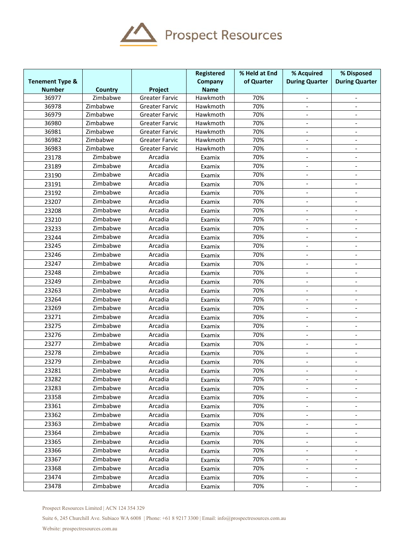

|                            |                |                       | <b>Registered</b> | % Held at End | % Acquired                   | % Disposed                                 |
|----------------------------|----------------|-----------------------|-------------------|---------------|------------------------------|--------------------------------------------|
| <b>Tenement Type &amp;</b> |                |                       | Company           | of Quarter    | <b>During Quarter</b>        | <b>During Quarter</b>                      |
| <b>Number</b>              | <b>Country</b> | Project               | <b>Name</b>       |               |                              |                                            |
| 36977                      | Zimbabwe       | <b>Greater Farvic</b> | Hawkmoth          | 70%           | $\overline{\phantom{a}}$     | $\overline{\phantom{a}}$                   |
| 36978                      | Zimbabwe       | <b>Greater Farvic</b> | Hawkmoth          | 70%           | $\overline{\phantom{a}}$     | $\blacksquare$                             |
| 36979                      | Zimbabwe       | <b>Greater Farvic</b> | Hawkmoth          | 70%           |                              |                                            |
| 36980                      | Zimbabwe       | <b>Greater Farvic</b> | Hawkmoth          | 70%           |                              |                                            |
| 36981                      | Zimbabwe       | <b>Greater Farvic</b> | Hawkmoth          | 70%           | $\overline{\phantom{a}}$     |                                            |
| 36982                      | Zimbabwe       | <b>Greater Farvic</b> | Hawkmoth          | 70%           | $\blacksquare$               | $\blacksquare$                             |
| 36983                      | Zimbabwe       | <b>Greater Farvic</b> | Hawkmoth          | 70%           | $\overline{a}$               |                                            |
| 23178                      | Zimbabwe       | Arcadia               | Examix            | 70%<br>70%    | $\qquad \qquad \blacksquare$ | $\overline{\phantom{a}}$<br>$\overline{a}$ |
| 23189                      | Zimbabwe       | Arcadia               | Examix            | 70%           | $\overline{\phantom{a}}$     |                                            |
| 23190                      | Zimbabwe       | Arcadia               | Examix            |               |                              |                                            |
| 23191                      | Zimbabwe       | Arcadia               | Examix            | 70%           |                              |                                            |
| 23192                      | Zimbabwe       | Arcadia               | Examix            | 70%           | $\overline{a}$               |                                            |
| 23207                      | Zimbabwe       | Arcadia               | Examix            | 70%           | $\overline{a}$               | $\overline{\phantom{a}}$                   |
| 23208                      | Zimbabwe       | Arcadia               | Examix            | 70%           | $\overline{\phantom{a}}$     |                                            |
| 23210                      | Zimbabwe       | Arcadia               | Examix            | 70%           |                              |                                            |
| 23233                      | Zimbabwe       | Arcadia               | Examix            | 70%           | $\overline{\phantom{0}}$     |                                            |
| 23244                      | Zimbabwe       | Arcadia               | Examix            | 70%           | $\blacksquare$               | $\overline{\phantom{a}}$                   |
| 23245                      | Zimbabwe       | Arcadia               | Examix            | 70%           | $\overline{\phantom{a}}$     |                                            |
| 23246                      | Zimbabwe       | Arcadia               | Examix            | 70%           |                              |                                            |
| 23247                      | Zimbabwe       | Arcadia               | Examix            | 70%           | $\overline{a}$               |                                            |
| 23248                      | Zimbabwe       | Arcadia               | Examix            | 70%           | $\overline{\phantom{a}}$     | $\overline{\phantom{a}}$                   |
| 23249                      | Zimbabwe       | Arcadia               | Examix            | 70%           | $\overline{\phantom{a}}$     | $\blacksquare$                             |
| 23263                      | Zimbabwe       | Arcadia               | Examix            | 70%           | $\frac{1}{2}$                | $\blacksquare$                             |
| 23264                      | Zimbabwe       | Arcadia               | Examix            | 70%           | $\overline{\phantom{a}}$     |                                            |
| 23269                      | Zimbabwe       | Arcadia               | Examix            | 70%           | $\overline{\phantom{a}}$     | $\overline{\phantom{a}}$                   |
| 23271                      | Zimbabwe       | Arcadia               | Examix            | 70%           | $\overline{\phantom{a}}$     |                                            |
| 23275                      | Zimbabwe       | Arcadia               | Examix            | 70%           | $\overline{\phantom{a}}$     |                                            |
| 23276                      | Zimbabwe       | Arcadia               | Examix            | 70%           | $\overline{\phantom{a}}$     |                                            |
| 23277                      | Zimbabwe       | Arcadia               | Examix            | 70%           |                              |                                            |
| 23278                      | Zimbabwe       | Arcadia               | Examix            | 70%           | $\overline{a}$               |                                            |
| 23279                      | Zimbabwe       | Arcadia               | Examix            | 70%           | $\blacksquare$               | $\blacksquare$                             |
| 23281                      | Zimbabwe       | Arcadia               | Examix            | 70%           |                              |                                            |
| 23282                      | Zimbabwe       | Arcadia               | Examix            | 70%           |                              |                                            |
| 23283                      | Zimbabwe       | Arcadia               | Examix            | 70%           | $\overline{\phantom{a}}$     | $\overline{\phantom{a}}$                   |
| 23358                      | Zimbabwe       | Arcadia               | Examix            | 70%           |                              |                                            |
| 23361                      | Zimbabwe       | Arcadia               | Examix            | 70%           | $\qquad \qquad \blacksquare$ |                                            |
| 23362                      | Zimbabwe       | Arcadia               | Examix            | 70%           | $\qquad \qquad \blacksquare$ | $\overline{\phantom{a}}$                   |
| 23363                      | Zimbabwe       | Arcadia               | Examix            | 70%           | $\overline{\phantom{a}}$     | $\overline{\phantom{a}}$                   |
| 23364                      | Zimbabwe       | Arcadia               | Examix            | 70%           | $\overline{\phantom{a}}$     | $\overline{\phantom{a}}$                   |
| 23365                      | Zimbabwe       | Arcadia               | Examix            | 70%           |                              |                                            |
| 23366                      | Zimbabwe       | Arcadia               | Examix            | 70%           | $\overline{\phantom{a}}$     |                                            |
| 23367                      | Zimbabwe       | Arcadia               | Examix            | 70%           | $\qquad \qquad \blacksquare$ | $\overline{\phantom{a}}$                   |
| 23368                      | Zimbabwe       | Arcadia               | Examix            | 70%           | $\overline{\phantom{a}}$     |                                            |
| 23474                      | Zimbabwe       | Arcadia               | Examix            | 70%           |                              |                                            |
| 23478                      | Zimbabwe       | Arcadia               | Examix            | 70%           |                              |                                            |

Prospect Resources Limited | ACN 124 354 329

Suite 6, 245 Churchill Ave. Subiaco WA 6008 | Phone: +61 8 9217 3300 | Email: info@prospectresources.com.au

Website: prospectresources.com.au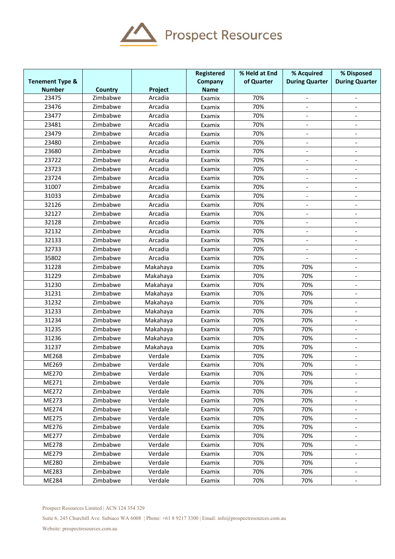

|                            |                |          | Registered  | % Held at End | % Acquired                   | % Disposed               |
|----------------------------|----------------|----------|-------------|---------------|------------------------------|--------------------------|
| <b>Tenement Type &amp;</b> |                |          | Company     | of Quarter    | <b>During Quarter</b>        | <b>During Quarter</b>    |
| <b>Number</b>              | <b>Country</b> | Project  | <b>Name</b> |               |                              |                          |
| 23475                      | Zimbabwe       | Arcadia  | Examix      | 70%           | $\overline{\phantom{a}}$     | $\overline{\phantom{a}}$ |
| 23476                      | Zimbabwe       | Arcadia  | Examix      | 70%           | $\blacksquare$               |                          |
| 23477                      | Zimbabwe       | Arcadia  | Examix      | 70%           |                              |                          |
| 23481                      | Zimbabwe       | Arcadia  | Examix      | 70%           | $\frac{1}{2}$                |                          |
| 23479                      | Zimbabwe       | Arcadia  | Examix      | 70%           | $\overline{\phantom{a}}$     | $\overline{\phantom{a}}$ |
| 23480                      | Zimbabwe       | Arcadia  | Examix      | 70%           | $\overline{\phantom{a}}$     | $\blacksquare$           |
| 23680                      | Zimbabwe       | Arcadia  | Examix      | 70%           | $\overline{\phantom{a}}$     | $\overline{\phantom{a}}$ |
| 23722                      | Zimbabwe       | Arcadia  | Examix      | 70%           | $\blacksquare$               |                          |
| 23723                      | Zimbabwe       | Arcadia  | Examix      | 70%           | $\overline{\phantom{a}}$     |                          |
| 23724                      | Zimbabwe       | Arcadia  | Examix      | 70%           | $\overline{\phantom{a}}$     |                          |
| 31007                      | Zimbabwe       | Arcadia  | Examix      | 70%           |                              |                          |
| 31033                      | Zimbabwe       | Arcadia  | Examix      | 70%           | $\overline{\phantom{a}}$     |                          |
| 32126                      | Zimbabwe       | Arcadia  | Examix      | 70%           |                              |                          |
| 32127                      | Zimbabwe       | Arcadia  | Examix      | 70%           | $\qquad \qquad \blacksquare$ |                          |
| 32128                      | Zimbabwe       | Arcadia  | Examix      | 70%           |                              |                          |
| 32132                      | Zimbabwe       | Arcadia  | Examix      | 70%           |                              |                          |
| 32133                      | Zimbabwe       | Arcadia  | Examix      | 70%           |                              |                          |
| 32733                      | Zimbabwe       | Arcadia  | Examix      | 70%           | $\qquad \qquad \blacksquare$ | $\overline{\phantom{a}}$ |
| 35802                      | Zimbabwe       | Arcadia  | Examix      | 70%           | $\blacksquare$               |                          |
| 31228                      | Zimbabwe       | Makahaya | Examix      | 70%           | 70%                          |                          |
| 31229                      | Zimbabwe       | Makahaya | Examix      | 70%           | 70%                          | $\overline{a}$           |
| 31230                      | Zimbabwe       | Makahaya | Examix      | 70%           | 70%                          | $\overline{\phantom{a}}$ |
| 31231                      | Zimbabwe       | Makahaya | Examix      | 70%           | 70%                          | $\blacksquare$           |
| 31232                      | Zimbabwe       | Makahaya | Examix      | 70%           | 70%                          |                          |
| 31233                      | Zimbabwe       | Makahaya | Examix      | 70%           | 70%                          |                          |
| 31234                      | Zimbabwe       | Makahaya | Examix      | 70%           | 70%                          |                          |
| 31235                      | Zimbabwe       | Makahaya | Examix      | 70%           | 70%                          |                          |
| 31236                      | Zimbabwe       | Makahaya | Examix      | 70%           | 70%                          |                          |
| 31237                      | Zimbabwe       | Makahaya | Examix      | 70%           | 70%                          |                          |
| ME268                      | Zimbabwe       | Verdale  | Examix      | 70%           | 70%                          |                          |
| ME269                      | Zimbabwe       | Verdale  | Examix      | 70%           | 70%                          |                          |
| ME270                      | Zimbabwe       | Verdale  | Examix      | 70%           | 70%                          |                          |
| ME271                      | Zimbabwe       | Verdale  | Examix      | 70%           | 70%                          |                          |
| ME272                      | Zimbabwe       | Verdale  | Examix      | 70%           | 70%                          |                          |
| ME273                      | Zimbabwe       | Verdale  | Examix      | 70%           | 70%                          | $\overline{\phantom{a}}$ |
| ME274                      | Zimbabwe       | Verdale  | Examix      | 70%           | 70%                          | $\overline{\phantom{a}}$ |
| ME275                      | Zimbabwe       | Verdale  | Examix      | 70%           | 70%                          |                          |
| ME276                      | Zimbabwe       | Verdale  | Examix      | 70%           | 70%                          |                          |
| ME277                      | Zimbabwe       | Verdale  | Examix      | 70%           | 70%                          | $\overline{\phantom{a}}$ |
| ME278                      | Zimbabwe       | Verdale  | Examix      | 70%           | 70%                          |                          |
| ME279                      | Zimbabwe       | Verdale  | Examix      | 70%           | 70%                          |                          |
| ME280                      | Zimbabwe       | Verdale  | Examix      | 70%           | 70%                          |                          |
| ME283                      | Zimbabwe       | Verdale  | Examix      | 70%           | 70%                          |                          |
| ME284                      | Zimbabwe       | Verdale  | Examix      | 70%           | 70%                          |                          |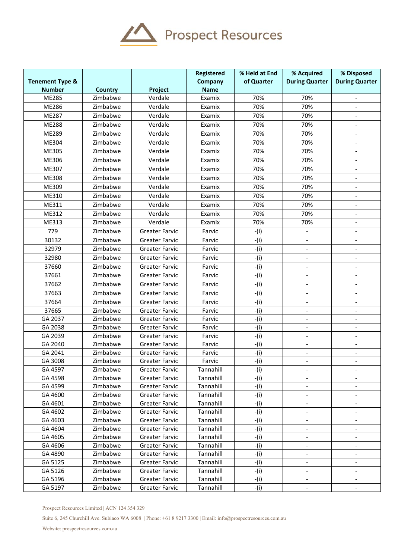

|                            |                |                       | <b>Registered</b> | % Held at End | % Acquired                   | % Disposed               |
|----------------------------|----------------|-----------------------|-------------------|---------------|------------------------------|--------------------------|
| <b>Tenement Type &amp;</b> |                |                       | Company           | of Quarter    | <b>During Quarter</b>        | <b>During Quarter</b>    |
| <b>Number</b>              | <b>Country</b> | Project               | <b>Name</b>       |               |                              |                          |
| ME285                      | Zimbabwe       | Verdale               | Examix            | 70%           | 70%                          | $\blacksquare$           |
| ME286                      | Zimbabwe       | Verdale               | Examix            | 70%           | 70%                          | $\blacksquare$           |
| ME287                      | Zimbabwe       | Verdale               | Examix            | 70%           | 70%                          |                          |
| <b>ME288</b>               | Zimbabwe       | Verdale               | Examix            | 70%           | 70%                          |                          |
| ME289                      | Zimbabwe       | Verdale               | Examix            | 70%           | 70%                          | $\overline{\phantom{a}}$ |
| ME304                      | Zimbabwe       | Verdale               | Examix            | 70%           | 70%                          | $\blacksquare$           |
| ME305                      | Zimbabwe       | Verdale               | Examix            | 70%           | 70%                          | $\blacksquare$           |
| ME306                      | Zimbabwe       | Verdale               | Examix            | 70%           | 70%                          | $\overline{a}$           |
| ME307                      | Zimbabwe       | Verdale               | Examix            | 70%           | 70%                          | $\overline{\phantom{a}}$ |
| ME308                      | Zimbabwe       | Verdale               | Examix            | 70%           | 70%                          |                          |
| ME309                      | Zimbabwe       | Verdale               | Examix            | 70%           | 70%                          |                          |
| ME310                      | Zimbabwe       | Verdale               | Examix            | 70%           | 70%                          |                          |
| ME311                      | Zimbabwe       | Verdale               | Examix            | 70%           | 70%                          |                          |
| ME312                      | Zimbabwe       | Verdale               | Examix            | 70%           | 70%                          |                          |
| ME313                      | Zimbabwe       | Verdale               | Examix            | 70%           | 70%                          |                          |
| 779                        | Zimbabwe       | <b>Greater Farvic</b> | Farvic            | $-(i)$        |                              |                          |
| 30132                      | Zimbabwe       | <b>Greater Farvic</b> | Farvic            | $-(i)$        | $\overline{a}$               |                          |
| 32979                      | Zimbabwe       | <b>Greater Farvic</b> | Farvic            | $-(i)$        | $\overline{\phantom{a}}$     | $\overline{\phantom{a}}$ |
| 32980                      | Zimbabwe       | Greater Farvic        | Farvic            | $-(i)$        | $\blacksquare$               |                          |
| 37660                      | Zimbabwe       | <b>Greater Farvic</b> | Farvic            | $-(i)$        |                              |                          |
| 37661                      | Zimbabwe       | <b>Greater Farvic</b> | Farvic            | $-(i)$        |                              |                          |
| 37662                      | Zimbabwe       | <b>Greater Farvic</b> | Farvic            | $-(i)$        | $\overline{\phantom{a}}$     |                          |
| 37663                      | Zimbabwe       | <b>Greater Farvic</b> | Farvic            | $-(i)$        | $\overline{\phantom{a}}$     | $\overline{\phantom{a}}$ |
| 37664                      | Zimbabwe       | <b>Greater Farvic</b> | Farvic            | $-(i)$        | $\overline{\phantom{a}}$     | $\blacksquare$           |
| 37665                      | Zimbabwe       | <b>Greater Farvic</b> | Farvic            | $-(i)$        |                              |                          |
| GA 2037                    | Zimbabwe       | <b>Greater Farvic</b> | Farvic            | $-(i)$        |                              | $\blacksquare$           |
| GA 2038                    | Zimbabwe       | <b>Greater Farvic</b> | Farvic            | $-(i)$        | $\overline{\phantom{a}}$     | $\overline{a}$           |
| GA 2039                    | Zimbabwe       | <b>Greater Farvic</b> | Farvic            | $-(i)$        | $\overline{a}$               | $\overline{a}$           |
| GA 2040                    | Zimbabwe       | <b>Greater Farvic</b> | Farvic            | $-(i)$        | $\overline{\phantom{a}}$     | $\overline{\phantom{a}}$ |
| GA 2041                    | Zimbabwe       | <b>Greater Farvic</b> | Farvic            | $-(i)$        | $\qquad \qquad \blacksquare$ | $\overline{\phantom{a}}$ |
| GA 3008                    | Zimbabwe       | <b>Greater Farvic</b> | Farvic            | $-(i)$        | $\overline{\phantom{a}}$     | $\overline{\phantom{a}}$ |
| GA 4597                    | Zimbabwe       | <b>Greater Farvic</b> | Tannahill         | -(i)          |                              |                          |
| GA 4598                    | Zimbabwe       | <b>Greater Farvic</b> | Tannahill         | $-(i)$        |                              |                          |
| GA 4599                    | Zimbabwe       | Greater Farvic        | Tannahill         | $-(i)$        | $\qquad \qquad \blacksquare$ |                          |
| GA 4600                    | Zimbabwe       | <b>Greater Farvic</b> | Tannahill         | $-(i)$        | $\overline{\phantom{a}}$     |                          |
| GA 4601                    | Zimbabwe       | <b>Greater Farvic</b> | Tannahill         | -(i)          |                              |                          |
| GA 4602                    | Zimbabwe       | <b>Greater Farvic</b> | Tannahill         | -(i)          |                              |                          |
| GA 4603                    | Zimbabwe       | <b>Greater Farvic</b> | Tannahill         | $-(i)$        | $\overline{\phantom{a}}$     | $\overline{\phantom{a}}$ |
| GA 4604                    | Zimbabwe       | <b>Greater Farvic</b> | Tannahill         | -(i)          | $\overline{\phantom{a}}$     | $\overline{\phantom{a}}$ |
| GA 4605                    | Zimbabwe       | <b>Greater Farvic</b> | Tannahill         | $-(i)$        | $\overline{\phantom{a}}$     | $\overline{\phantom{a}}$ |
| GA 4606                    | Zimbabwe       | <b>Greater Farvic</b> | Tannahill         | $-(i)$        |                              |                          |
| GA 4890                    | Zimbabwe       | <b>Greater Farvic</b> | Tannahill         | $-(i)$        |                              |                          |
| GA 5125                    | Zimbabwe       | <b>Greater Farvic</b> | Tannahill         | $-(i)$        |                              |                          |
| GA 5126                    | Zimbabwe       | Greater Farvic        | Tannahill         | -(i)          |                              |                          |
| GA 5196                    | Zimbabwe       | <b>Greater Farvic</b> | Tannahill         | $-(i)$        | $\overline{\phantom{a}}$     |                          |
| GA 5197                    | Zimbabwe       | <b>Greater Farvic</b> | Tannahill         | -(i)          | $\overline{\phantom{a}}$     | $\overline{\phantom{a}}$ |

Prospect Resources Limited | ACN 124 354 329

Suite 6, 245 Churchill Ave. Subiaco WA 6008 | Phone: +61 8 9217 3300 | Email: info@prospectresources.com.au

Website: prospectresources.com.au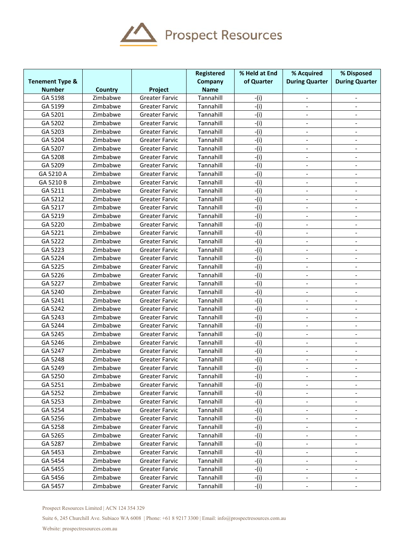

| of Quarter<br><b>During Quarter</b><br><b>During Quarter</b><br><b>Tenement Type &amp;</b><br>Company<br><b>Number</b><br><b>Name</b><br><b>Country</b><br>Project<br>GA 5198<br>Tannahill<br>Zimbabwe<br><b>Greater Farvic</b><br>$-(i)$<br>$\overline{\phantom{a}}$<br>$\overline{\phantom{a}}$<br>Tannahill<br>$-(i)$<br>GA 5199<br>Zimbabwe<br><b>Greater Farvic</b><br>$\blacksquare$<br>GA 5201<br>Tannahill<br>$-(i)$<br>Zimbabwe<br><b>Greater Farvic</b><br>Tannahill<br>$-(i)$<br>GA 5202<br>Zimbabwe<br><b>Greater Farvic</b><br>GA 5203<br>Tannahill<br>$-(i)$<br>Zimbabwe<br><b>Greater Farvic</b><br>$\overline{\phantom{a}}$<br>$\overline{a}$<br>$-i$ )<br>Tannahill<br>GA 5204<br>Zimbabwe<br><b>Greater Farvic</b><br>$\overline{\phantom{a}}$<br>Tannahill<br>GA 5207<br>$-(i)$<br>Zimbabwe<br><b>Greater Farvic</b><br>$\overline{\phantom{a}}$<br>GA 5208<br>Tannahill<br>$-(i)$<br>Zimbabwe<br><b>Greater Farvic</b><br>$\frac{1}{2}$<br>$\overline{\phantom{a}}$<br>GA 5209<br>Tannahill<br>$-(i)$<br>Zimbabwe<br><b>Greater Farvic</b><br>$\overline{\phantom{a}}$<br>$\overline{\phantom{a}}$<br>GA 5210 A<br>Tannahill<br>$-(i)$<br>Zimbabwe<br><b>Greater Farvic</b><br>$\overline{\phantom{a}}$<br>$\overline{\phantom{a}}$<br>Tannahill<br>$-(i)$<br>GA 5210 B<br>Zimbabwe<br><b>Greater Farvic</b><br>$-(i)$<br>GA 5211<br>Tannahill<br>Zimbabwe<br><b>Greater Farvic</b><br>Tannahill<br>$-(i)$<br>GA 5212<br>Zimbabwe<br><b>Greater Farvic</b><br>$\overline{a}$<br>$\overline{a}$<br>GA 5217<br>Tannahill<br>$-(i)$<br>Zimbabwe<br><b>Greater Farvic</b><br>$\overline{a}$<br>$\blacksquare$<br>Tannahill<br>$-(i)$<br>GA 5219<br>Zimbabwe<br><b>Greater Farvic</b><br>Tannahill<br>$-(i)$<br>GA 5220<br>Zimbabwe<br><b>Greater Farvic</b><br>$\qquad \qquad \blacksquare$<br>Tannahill<br>GA 5221<br>Zimbabwe<br>$-(i)$<br><b>Greater Farvic</b><br>$\overline{\phantom{a}}$<br>$\overline{\phantom{a}}$<br>GA 5222<br>Tannahill<br>Zimbabwe<br>$-(i)$<br><b>Greater Farvic</b><br>$\overline{\phantom{a}}$<br>$\overline{\phantom{a}}$<br>GA 5223<br>Tannahill<br>$-(i)$<br>Zimbabwe<br><b>Greater Farvic</b><br>$\blacksquare$<br>$\blacksquare$<br>Tannahill<br>GA 5224<br>$-(i)$<br>Zimbabwe<br><b>Greater Farvic</b><br>$\blacksquare$<br>Tannahill<br>$-(i)$<br>GA 5225<br>Zimbabwe<br><b>Greater Farvic</b><br>$-(i)$<br>GA 5226<br>Tannahill<br>Zimbabwe<br><b>Greater Farvic</b><br>$\overline{\phantom{a}}$<br>$\overline{a}$<br>Tannahill<br>$-(i)$<br>GA 5227<br>Zimbabwe<br><b>Greater Farvic</b><br>$\overline{\phantom{a}}$<br>GA 5240<br>Tannahill<br>$-(i)$<br>Zimbabwe<br><b>Greater Farvic</b><br>$\overline{\phantom{a}}$<br>Tannahill<br>$-(i)$<br>GA 5241<br>Zimbabwe<br><b>Greater Farvic</b><br>$\blacksquare$<br>$\overline{\phantom{a}}$<br>GA 5242<br>Zimbabwe<br>Tannahill<br>$-(i)$<br><b>Greater Farvic</b><br>$\overline{\phantom{a}}$<br>$\overline{\phantom{a}}$<br>Tannahill<br>$-(i)$<br>GA 5243<br>Zimbabwe<br><b>Greater Farvic</b><br>$\overline{\phantom{a}}$<br>$-(i)$<br>GA 5244<br>Zimbabwe<br>Tannahill<br><b>Greater Farvic</b><br>$-(i)$<br>GA 5245<br>Tannahill<br>Zimbabwe<br><b>Greater Farvic</b><br>$\frac{1}{2}$<br>$\blacksquare$<br>Tannahill<br>$-(i)$<br>GA 5246<br>Zimbabwe<br><b>Greater Farvic</b><br>$\overline{\phantom{a}}$<br>$\overline{a}$<br>GA 5247<br>Tannahill<br>$-(i)$<br>Zimbabwe<br><b>Greater Farvic</b><br>$\overline{a}$<br>$\blacksquare$<br>Tannahill<br>$-(i)$<br>GA 5248<br>Zimbabwe<br><b>Greater Farvic</b><br>GA 5249<br>Zimbabwe<br>Greater Farvic<br>Tannahill<br>-(i)<br>$\overline{\phantom{a}}$<br>$\overline{\phantom{a}}$<br>GA 5250<br>$-(i)$<br>Zimbabwe<br>Tannahill<br>Greater Farvic<br>$\overline{\phantom{a}}$<br>$\overline{\phantom{a}}$<br>GA 5251<br>Tannahill<br>$-(i)$<br>Zimbabwe<br><b>Greater Farvic</b><br>$\overline{\phantom{a}}$<br>$\overline{\phantom{a}}$<br>$-(i)$<br>GA 5252<br>Tannahill<br>Zimbabwe<br><b>Greater Farvic</b><br>GA 5253<br>Tannahill<br>$-(i)$<br>Zimbabwe<br>Greater Farvic<br>GA 5254<br>$-(i)$<br>Zimbabwe<br>Tannahill<br>Greater Farvic<br>GA 5256<br>$-(i)$<br>Zimbabwe<br>Tannahill<br>Greater Farvic<br>GA 5258<br>Tannahill<br>$-(i)$<br>Zimbabwe<br><b>Greater Farvic</b><br>GA 5265<br>Tannahill<br>$-(i)$<br>Zimbabwe<br>Greater Farvic<br>$\qquad \qquad \blacksquare$<br>$\qquad \qquad \blacksquare$<br>GA 5287<br>Tannahill<br>Zimbabwe<br><b>Greater Farvic</b><br>$-(i)$<br>$\overline{\phantom{a}}$<br>$\overline{\phantom{a}}$<br>GA 5453<br>Tannahill<br>Zimbabwe<br>-(i)<br>Greater Farvic<br>$\blacksquare$<br>$\overline{\phantom{a}}$<br>GA 5454<br>Tannahill<br>$-(i)$<br>Zimbabwe<br>Greater Farvic<br>$\overline{\phantom{a}}$<br>GA 5455<br>$-(i)$<br>Zimbabwe<br>Tannahill<br>Greater Farvic<br>GA 5456<br>$-(i)$<br>Zimbabwe<br>Tannahill<br>Greater Farvic<br>$\qquad \qquad \blacksquare$<br>GA 5457<br>Zimbabwe<br>Tannahill<br>$-(i)$<br>Greater Farvic<br>$\overline{\phantom{a}}$<br>$\overline{\phantom{a}}$ |  | Registered | % Held at End | % Acquired | % Disposed |
|--------------------------------------------------------------------------------------------------------------------------------------------------------------------------------------------------------------------------------------------------------------------------------------------------------------------------------------------------------------------------------------------------------------------------------------------------------------------------------------------------------------------------------------------------------------------------------------------------------------------------------------------------------------------------------------------------------------------------------------------------------------------------------------------------------------------------------------------------------------------------------------------------------------------------------------------------------------------------------------------------------------------------------------------------------------------------------------------------------------------------------------------------------------------------------------------------------------------------------------------------------------------------------------------------------------------------------------------------------------------------------------------------------------------------------------------------------------------------------------------------------------------------------------------------------------------------------------------------------------------------------------------------------------------------------------------------------------------------------------------------------------------------------------------------------------------------------------------------------------------------------------------------------------------------------------------------------------------------------------------------------------------------------------------------------------------------------------------------------------------------------------------------------------------------------------------------------------------------------------------------------------------------------------------------------------------------------------------------------------------------------------------------------------------------------------------------------------------------------------------------------------------------------------------------------------------------------------------------------------------------------------------------------------------------------------------------------------------------------------------------------------------------------------------------------------------------------------------------------------------------------------------------------------------------------------------------------------------------------------------------------------------------------------------------------------------------------------------------------------------------------------------------------------------------------------------------------------------------------------------------------------------------------------------------------------------------------------------------------------------------------------------------------------------------------------------------------------------------------------------------------------------------------------------------------------------------------------------------------------------------------------------------------------------------------------------------------------------------------------------------------------------------------------------------------------------------------------------------------------------------------------------------------------------------------------------------------------------------------------------------------------------------------------------------------------------------------------------------------------------------------------------------------------------------------------------------------------------------------------------------------------------------------------------------------------------------------------------------------------------------------------------------------------------------------------------------------------------------------------------------------------------------------------------------------------------------------------------------------------------------------------------------------------------------------------------------------------------------------------------------------------------------------------------------------------------------------------------------------------------------------------------------------------------------------------------------------------------------------------------------------------------------|--|------------|---------------|------------|------------|
|                                                                                                                                                                                                                                                                                                                                                                                                                                                                                                                                                                                                                                                                                                                                                                                                                                                                                                                                                                                                                                                                                                                                                                                                                                                                                                                                                                                                                                                                                                                                                                                                                                                                                                                                                                                                                                                                                                                                                                                                                                                                                                                                                                                                                                                                                                                                                                                                                                                                                                                                                                                                                                                                                                                                                                                                                                                                                                                                                                                                                                                                                                                                                                                                                                                                                                                                                                                                                                                                                                                                                                                                                                                                                                                                                                                                                                                                                                                                                                                                                                                                                                                                                                                                                                                                                                                                                                                                                                                                                                                                                                                                                                                                                                                                                                                                                                                                                                                                                                                                                          |  |            |               |            |            |
|                                                                                                                                                                                                                                                                                                                                                                                                                                                                                                                                                                                                                                                                                                                                                                                                                                                                                                                                                                                                                                                                                                                                                                                                                                                                                                                                                                                                                                                                                                                                                                                                                                                                                                                                                                                                                                                                                                                                                                                                                                                                                                                                                                                                                                                                                                                                                                                                                                                                                                                                                                                                                                                                                                                                                                                                                                                                                                                                                                                                                                                                                                                                                                                                                                                                                                                                                                                                                                                                                                                                                                                                                                                                                                                                                                                                                                                                                                                                                                                                                                                                                                                                                                                                                                                                                                                                                                                                                                                                                                                                                                                                                                                                                                                                                                                                                                                                                                                                                                                                                          |  |            |               |            |            |
|                                                                                                                                                                                                                                                                                                                                                                                                                                                                                                                                                                                                                                                                                                                                                                                                                                                                                                                                                                                                                                                                                                                                                                                                                                                                                                                                                                                                                                                                                                                                                                                                                                                                                                                                                                                                                                                                                                                                                                                                                                                                                                                                                                                                                                                                                                                                                                                                                                                                                                                                                                                                                                                                                                                                                                                                                                                                                                                                                                                                                                                                                                                                                                                                                                                                                                                                                                                                                                                                                                                                                                                                                                                                                                                                                                                                                                                                                                                                                                                                                                                                                                                                                                                                                                                                                                                                                                                                                                                                                                                                                                                                                                                                                                                                                                                                                                                                                                                                                                                                                          |  |            |               |            |            |
|                                                                                                                                                                                                                                                                                                                                                                                                                                                                                                                                                                                                                                                                                                                                                                                                                                                                                                                                                                                                                                                                                                                                                                                                                                                                                                                                                                                                                                                                                                                                                                                                                                                                                                                                                                                                                                                                                                                                                                                                                                                                                                                                                                                                                                                                                                                                                                                                                                                                                                                                                                                                                                                                                                                                                                                                                                                                                                                                                                                                                                                                                                                                                                                                                                                                                                                                                                                                                                                                                                                                                                                                                                                                                                                                                                                                                                                                                                                                                                                                                                                                                                                                                                                                                                                                                                                                                                                                                                                                                                                                                                                                                                                                                                                                                                                                                                                                                                                                                                                                                          |  |            |               |            |            |
|                                                                                                                                                                                                                                                                                                                                                                                                                                                                                                                                                                                                                                                                                                                                                                                                                                                                                                                                                                                                                                                                                                                                                                                                                                                                                                                                                                                                                                                                                                                                                                                                                                                                                                                                                                                                                                                                                                                                                                                                                                                                                                                                                                                                                                                                                                                                                                                                                                                                                                                                                                                                                                                                                                                                                                                                                                                                                                                                                                                                                                                                                                                                                                                                                                                                                                                                                                                                                                                                                                                                                                                                                                                                                                                                                                                                                                                                                                                                                                                                                                                                                                                                                                                                                                                                                                                                                                                                                                                                                                                                                                                                                                                                                                                                                                                                                                                                                                                                                                                                                          |  |            |               |            |            |
|                                                                                                                                                                                                                                                                                                                                                                                                                                                                                                                                                                                                                                                                                                                                                                                                                                                                                                                                                                                                                                                                                                                                                                                                                                                                                                                                                                                                                                                                                                                                                                                                                                                                                                                                                                                                                                                                                                                                                                                                                                                                                                                                                                                                                                                                                                                                                                                                                                                                                                                                                                                                                                                                                                                                                                                                                                                                                                                                                                                                                                                                                                                                                                                                                                                                                                                                                                                                                                                                                                                                                                                                                                                                                                                                                                                                                                                                                                                                                                                                                                                                                                                                                                                                                                                                                                                                                                                                                                                                                                                                                                                                                                                                                                                                                                                                                                                                                                                                                                                                                          |  |            |               |            |            |
|                                                                                                                                                                                                                                                                                                                                                                                                                                                                                                                                                                                                                                                                                                                                                                                                                                                                                                                                                                                                                                                                                                                                                                                                                                                                                                                                                                                                                                                                                                                                                                                                                                                                                                                                                                                                                                                                                                                                                                                                                                                                                                                                                                                                                                                                                                                                                                                                                                                                                                                                                                                                                                                                                                                                                                                                                                                                                                                                                                                                                                                                                                                                                                                                                                                                                                                                                                                                                                                                                                                                                                                                                                                                                                                                                                                                                                                                                                                                                                                                                                                                                                                                                                                                                                                                                                                                                                                                                                                                                                                                                                                                                                                                                                                                                                                                                                                                                                                                                                                                                          |  |            |               |            |            |
|                                                                                                                                                                                                                                                                                                                                                                                                                                                                                                                                                                                                                                                                                                                                                                                                                                                                                                                                                                                                                                                                                                                                                                                                                                                                                                                                                                                                                                                                                                                                                                                                                                                                                                                                                                                                                                                                                                                                                                                                                                                                                                                                                                                                                                                                                                                                                                                                                                                                                                                                                                                                                                                                                                                                                                                                                                                                                                                                                                                                                                                                                                                                                                                                                                                                                                                                                                                                                                                                                                                                                                                                                                                                                                                                                                                                                                                                                                                                                                                                                                                                                                                                                                                                                                                                                                                                                                                                                                                                                                                                                                                                                                                                                                                                                                                                                                                                                                                                                                                                                          |  |            |               |            |            |
|                                                                                                                                                                                                                                                                                                                                                                                                                                                                                                                                                                                                                                                                                                                                                                                                                                                                                                                                                                                                                                                                                                                                                                                                                                                                                                                                                                                                                                                                                                                                                                                                                                                                                                                                                                                                                                                                                                                                                                                                                                                                                                                                                                                                                                                                                                                                                                                                                                                                                                                                                                                                                                                                                                                                                                                                                                                                                                                                                                                                                                                                                                                                                                                                                                                                                                                                                                                                                                                                                                                                                                                                                                                                                                                                                                                                                                                                                                                                                                                                                                                                                                                                                                                                                                                                                                                                                                                                                                                                                                                                                                                                                                                                                                                                                                                                                                                                                                                                                                                                                          |  |            |               |            |            |
|                                                                                                                                                                                                                                                                                                                                                                                                                                                                                                                                                                                                                                                                                                                                                                                                                                                                                                                                                                                                                                                                                                                                                                                                                                                                                                                                                                                                                                                                                                                                                                                                                                                                                                                                                                                                                                                                                                                                                                                                                                                                                                                                                                                                                                                                                                                                                                                                                                                                                                                                                                                                                                                                                                                                                                                                                                                                                                                                                                                                                                                                                                                                                                                                                                                                                                                                                                                                                                                                                                                                                                                                                                                                                                                                                                                                                                                                                                                                                                                                                                                                                                                                                                                                                                                                                                                                                                                                                                                                                                                                                                                                                                                                                                                                                                                                                                                                                                                                                                                                                          |  |            |               |            |            |
|                                                                                                                                                                                                                                                                                                                                                                                                                                                                                                                                                                                                                                                                                                                                                                                                                                                                                                                                                                                                                                                                                                                                                                                                                                                                                                                                                                                                                                                                                                                                                                                                                                                                                                                                                                                                                                                                                                                                                                                                                                                                                                                                                                                                                                                                                                                                                                                                                                                                                                                                                                                                                                                                                                                                                                                                                                                                                                                                                                                                                                                                                                                                                                                                                                                                                                                                                                                                                                                                                                                                                                                                                                                                                                                                                                                                                                                                                                                                                                                                                                                                                                                                                                                                                                                                                                                                                                                                                                                                                                                                                                                                                                                                                                                                                                                                                                                                                                                                                                                                                          |  |            |               |            |            |
|                                                                                                                                                                                                                                                                                                                                                                                                                                                                                                                                                                                                                                                                                                                                                                                                                                                                                                                                                                                                                                                                                                                                                                                                                                                                                                                                                                                                                                                                                                                                                                                                                                                                                                                                                                                                                                                                                                                                                                                                                                                                                                                                                                                                                                                                                                                                                                                                                                                                                                                                                                                                                                                                                                                                                                                                                                                                                                                                                                                                                                                                                                                                                                                                                                                                                                                                                                                                                                                                                                                                                                                                                                                                                                                                                                                                                                                                                                                                                                                                                                                                                                                                                                                                                                                                                                                                                                                                                                                                                                                                                                                                                                                                                                                                                                                                                                                                                                                                                                                                                          |  |            |               |            |            |
|                                                                                                                                                                                                                                                                                                                                                                                                                                                                                                                                                                                                                                                                                                                                                                                                                                                                                                                                                                                                                                                                                                                                                                                                                                                                                                                                                                                                                                                                                                                                                                                                                                                                                                                                                                                                                                                                                                                                                                                                                                                                                                                                                                                                                                                                                                                                                                                                                                                                                                                                                                                                                                                                                                                                                                                                                                                                                                                                                                                                                                                                                                                                                                                                                                                                                                                                                                                                                                                                                                                                                                                                                                                                                                                                                                                                                                                                                                                                                                                                                                                                                                                                                                                                                                                                                                                                                                                                                                                                                                                                                                                                                                                                                                                                                                                                                                                                                                                                                                                                                          |  |            |               |            |            |
|                                                                                                                                                                                                                                                                                                                                                                                                                                                                                                                                                                                                                                                                                                                                                                                                                                                                                                                                                                                                                                                                                                                                                                                                                                                                                                                                                                                                                                                                                                                                                                                                                                                                                                                                                                                                                                                                                                                                                                                                                                                                                                                                                                                                                                                                                                                                                                                                                                                                                                                                                                                                                                                                                                                                                                                                                                                                                                                                                                                                                                                                                                                                                                                                                                                                                                                                                                                                                                                                                                                                                                                                                                                                                                                                                                                                                                                                                                                                                                                                                                                                                                                                                                                                                                                                                                                                                                                                                                                                                                                                                                                                                                                                                                                                                                                                                                                                                                                                                                                                                          |  |            |               |            |            |
|                                                                                                                                                                                                                                                                                                                                                                                                                                                                                                                                                                                                                                                                                                                                                                                                                                                                                                                                                                                                                                                                                                                                                                                                                                                                                                                                                                                                                                                                                                                                                                                                                                                                                                                                                                                                                                                                                                                                                                                                                                                                                                                                                                                                                                                                                                                                                                                                                                                                                                                                                                                                                                                                                                                                                                                                                                                                                                                                                                                                                                                                                                                                                                                                                                                                                                                                                                                                                                                                                                                                                                                                                                                                                                                                                                                                                                                                                                                                                                                                                                                                                                                                                                                                                                                                                                                                                                                                                                                                                                                                                                                                                                                                                                                                                                                                                                                                                                                                                                                                                          |  |            |               |            |            |
|                                                                                                                                                                                                                                                                                                                                                                                                                                                                                                                                                                                                                                                                                                                                                                                                                                                                                                                                                                                                                                                                                                                                                                                                                                                                                                                                                                                                                                                                                                                                                                                                                                                                                                                                                                                                                                                                                                                                                                                                                                                                                                                                                                                                                                                                                                                                                                                                                                                                                                                                                                                                                                                                                                                                                                                                                                                                                                                                                                                                                                                                                                                                                                                                                                                                                                                                                                                                                                                                                                                                                                                                                                                                                                                                                                                                                                                                                                                                                                                                                                                                                                                                                                                                                                                                                                                                                                                                                                                                                                                                                                                                                                                                                                                                                                                                                                                                                                                                                                                                                          |  |            |               |            |            |
|                                                                                                                                                                                                                                                                                                                                                                                                                                                                                                                                                                                                                                                                                                                                                                                                                                                                                                                                                                                                                                                                                                                                                                                                                                                                                                                                                                                                                                                                                                                                                                                                                                                                                                                                                                                                                                                                                                                                                                                                                                                                                                                                                                                                                                                                                                                                                                                                                                                                                                                                                                                                                                                                                                                                                                                                                                                                                                                                                                                                                                                                                                                                                                                                                                                                                                                                                                                                                                                                                                                                                                                                                                                                                                                                                                                                                                                                                                                                                                                                                                                                                                                                                                                                                                                                                                                                                                                                                                                                                                                                                                                                                                                                                                                                                                                                                                                                                                                                                                                                                          |  |            |               |            |            |
|                                                                                                                                                                                                                                                                                                                                                                                                                                                                                                                                                                                                                                                                                                                                                                                                                                                                                                                                                                                                                                                                                                                                                                                                                                                                                                                                                                                                                                                                                                                                                                                                                                                                                                                                                                                                                                                                                                                                                                                                                                                                                                                                                                                                                                                                                                                                                                                                                                                                                                                                                                                                                                                                                                                                                                                                                                                                                                                                                                                                                                                                                                                                                                                                                                                                                                                                                                                                                                                                                                                                                                                                                                                                                                                                                                                                                                                                                                                                                                                                                                                                                                                                                                                                                                                                                                                                                                                                                                                                                                                                                                                                                                                                                                                                                                                                                                                                                                                                                                                                                          |  |            |               |            |            |
|                                                                                                                                                                                                                                                                                                                                                                                                                                                                                                                                                                                                                                                                                                                                                                                                                                                                                                                                                                                                                                                                                                                                                                                                                                                                                                                                                                                                                                                                                                                                                                                                                                                                                                                                                                                                                                                                                                                                                                                                                                                                                                                                                                                                                                                                                                                                                                                                                                                                                                                                                                                                                                                                                                                                                                                                                                                                                                                                                                                                                                                                                                                                                                                                                                                                                                                                                                                                                                                                                                                                                                                                                                                                                                                                                                                                                                                                                                                                                                                                                                                                                                                                                                                                                                                                                                                                                                                                                                                                                                                                                                                                                                                                                                                                                                                                                                                                                                                                                                                                                          |  |            |               |            |            |
|                                                                                                                                                                                                                                                                                                                                                                                                                                                                                                                                                                                                                                                                                                                                                                                                                                                                                                                                                                                                                                                                                                                                                                                                                                                                                                                                                                                                                                                                                                                                                                                                                                                                                                                                                                                                                                                                                                                                                                                                                                                                                                                                                                                                                                                                                                                                                                                                                                                                                                                                                                                                                                                                                                                                                                                                                                                                                                                                                                                                                                                                                                                                                                                                                                                                                                                                                                                                                                                                                                                                                                                                                                                                                                                                                                                                                                                                                                                                                                                                                                                                                                                                                                                                                                                                                                                                                                                                                                                                                                                                                                                                                                                                                                                                                                                                                                                                                                                                                                                                                          |  |            |               |            |            |
|                                                                                                                                                                                                                                                                                                                                                                                                                                                                                                                                                                                                                                                                                                                                                                                                                                                                                                                                                                                                                                                                                                                                                                                                                                                                                                                                                                                                                                                                                                                                                                                                                                                                                                                                                                                                                                                                                                                                                                                                                                                                                                                                                                                                                                                                                                                                                                                                                                                                                                                                                                                                                                                                                                                                                                                                                                                                                                                                                                                                                                                                                                                                                                                                                                                                                                                                                                                                                                                                                                                                                                                                                                                                                                                                                                                                                                                                                                                                                                                                                                                                                                                                                                                                                                                                                                                                                                                                                                                                                                                                                                                                                                                                                                                                                                                                                                                                                                                                                                                                                          |  |            |               |            |            |
|                                                                                                                                                                                                                                                                                                                                                                                                                                                                                                                                                                                                                                                                                                                                                                                                                                                                                                                                                                                                                                                                                                                                                                                                                                                                                                                                                                                                                                                                                                                                                                                                                                                                                                                                                                                                                                                                                                                                                                                                                                                                                                                                                                                                                                                                                                                                                                                                                                                                                                                                                                                                                                                                                                                                                                                                                                                                                                                                                                                                                                                                                                                                                                                                                                                                                                                                                                                                                                                                                                                                                                                                                                                                                                                                                                                                                                                                                                                                                                                                                                                                                                                                                                                                                                                                                                                                                                                                                                                                                                                                                                                                                                                                                                                                                                                                                                                                                                                                                                                                                          |  |            |               |            |            |
|                                                                                                                                                                                                                                                                                                                                                                                                                                                                                                                                                                                                                                                                                                                                                                                                                                                                                                                                                                                                                                                                                                                                                                                                                                                                                                                                                                                                                                                                                                                                                                                                                                                                                                                                                                                                                                                                                                                                                                                                                                                                                                                                                                                                                                                                                                                                                                                                                                                                                                                                                                                                                                                                                                                                                                                                                                                                                                                                                                                                                                                                                                                                                                                                                                                                                                                                                                                                                                                                                                                                                                                                                                                                                                                                                                                                                                                                                                                                                                                                                                                                                                                                                                                                                                                                                                                                                                                                                                                                                                                                                                                                                                                                                                                                                                                                                                                                                                                                                                                                                          |  |            |               |            |            |
|                                                                                                                                                                                                                                                                                                                                                                                                                                                                                                                                                                                                                                                                                                                                                                                                                                                                                                                                                                                                                                                                                                                                                                                                                                                                                                                                                                                                                                                                                                                                                                                                                                                                                                                                                                                                                                                                                                                                                                                                                                                                                                                                                                                                                                                                                                                                                                                                                                                                                                                                                                                                                                                                                                                                                                                                                                                                                                                                                                                                                                                                                                                                                                                                                                                                                                                                                                                                                                                                                                                                                                                                                                                                                                                                                                                                                                                                                                                                                                                                                                                                                                                                                                                                                                                                                                                                                                                                                                                                                                                                                                                                                                                                                                                                                                                                                                                                                                                                                                                                                          |  |            |               |            |            |
|                                                                                                                                                                                                                                                                                                                                                                                                                                                                                                                                                                                                                                                                                                                                                                                                                                                                                                                                                                                                                                                                                                                                                                                                                                                                                                                                                                                                                                                                                                                                                                                                                                                                                                                                                                                                                                                                                                                                                                                                                                                                                                                                                                                                                                                                                                                                                                                                                                                                                                                                                                                                                                                                                                                                                                                                                                                                                                                                                                                                                                                                                                                                                                                                                                                                                                                                                                                                                                                                                                                                                                                                                                                                                                                                                                                                                                                                                                                                                                                                                                                                                                                                                                                                                                                                                                                                                                                                                                                                                                                                                                                                                                                                                                                                                                                                                                                                                                                                                                                                                          |  |            |               |            |            |
|                                                                                                                                                                                                                                                                                                                                                                                                                                                                                                                                                                                                                                                                                                                                                                                                                                                                                                                                                                                                                                                                                                                                                                                                                                                                                                                                                                                                                                                                                                                                                                                                                                                                                                                                                                                                                                                                                                                                                                                                                                                                                                                                                                                                                                                                                                                                                                                                                                                                                                                                                                                                                                                                                                                                                                                                                                                                                                                                                                                                                                                                                                                                                                                                                                                                                                                                                                                                                                                                                                                                                                                                                                                                                                                                                                                                                                                                                                                                                                                                                                                                                                                                                                                                                                                                                                                                                                                                                                                                                                                                                                                                                                                                                                                                                                                                                                                                                                                                                                                                                          |  |            |               |            |            |
|                                                                                                                                                                                                                                                                                                                                                                                                                                                                                                                                                                                                                                                                                                                                                                                                                                                                                                                                                                                                                                                                                                                                                                                                                                                                                                                                                                                                                                                                                                                                                                                                                                                                                                                                                                                                                                                                                                                                                                                                                                                                                                                                                                                                                                                                                                                                                                                                                                                                                                                                                                                                                                                                                                                                                                                                                                                                                                                                                                                                                                                                                                                                                                                                                                                                                                                                                                                                                                                                                                                                                                                                                                                                                                                                                                                                                                                                                                                                                                                                                                                                                                                                                                                                                                                                                                                                                                                                                                                                                                                                                                                                                                                                                                                                                                                                                                                                                                                                                                                                                          |  |            |               |            |            |
|                                                                                                                                                                                                                                                                                                                                                                                                                                                                                                                                                                                                                                                                                                                                                                                                                                                                                                                                                                                                                                                                                                                                                                                                                                                                                                                                                                                                                                                                                                                                                                                                                                                                                                                                                                                                                                                                                                                                                                                                                                                                                                                                                                                                                                                                                                                                                                                                                                                                                                                                                                                                                                                                                                                                                                                                                                                                                                                                                                                                                                                                                                                                                                                                                                                                                                                                                                                                                                                                                                                                                                                                                                                                                                                                                                                                                                                                                                                                                                                                                                                                                                                                                                                                                                                                                                                                                                                                                                                                                                                                                                                                                                                                                                                                                                                                                                                                                                                                                                                                                          |  |            |               |            |            |
|                                                                                                                                                                                                                                                                                                                                                                                                                                                                                                                                                                                                                                                                                                                                                                                                                                                                                                                                                                                                                                                                                                                                                                                                                                                                                                                                                                                                                                                                                                                                                                                                                                                                                                                                                                                                                                                                                                                                                                                                                                                                                                                                                                                                                                                                                                                                                                                                                                                                                                                                                                                                                                                                                                                                                                                                                                                                                                                                                                                                                                                                                                                                                                                                                                                                                                                                                                                                                                                                                                                                                                                                                                                                                                                                                                                                                                                                                                                                                                                                                                                                                                                                                                                                                                                                                                                                                                                                                                                                                                                                                                                                                                                                                                                                                                                                                                                                                                                                                                                                                          |  |            |               |            |            |
|                                                                                                                                                                                                                                                                                                                                                                                                                                                                                                                                                                                                                                                                                                                                                                                                                                                                                                                                                                                                                                                                                                                                                                                                                                                                                                                                                                                                                                                                                                                                                                                                                                                                                                                                                                                                                                                                                                                                                                                                                                                                                                                                                                                                                                                                                                                                                                                                                                                                                                                                                                                                                                                                                                                                                                                                                                                                                                                                                                                                                                                                                                                                                                                                                                                                                                                                                                                                                                                                                                                                                                                                                                                                                                                                                                                                                                                                                                                                                                                                                                                                                                                                                                                                                                                                                                                                                                                                                                                                                                                                                                                                                                                                                                                                                                                                                                                                                                                                                                                                                          |  |            |               |            |            |
|                                                                                                                                                                                                                                                                                                                                                                                                                                                                                                                                                                                                                                                                                                                                                                                                                                                                                                                                                                                                                                                                                                                                                                                                                                                                                                                                                                                                                                                                                                                                                                                                                                                                                                                                                                                                                                                                                                                                                                                                                                                                                                                                                                                                                                                                                                                                                                                                                                                                                                                                                                                                                                                                                                                                                                                                                                                                                                                                                                                                                                                                                                                                                                                                                                                                                                                                                                                                                                                                                                                                                                                                                                                                                                                                                                                                                                                                                                                                                                                                                                                                                                                                                                                                                                                                                                                                                                                                                                                                                                                                                                                                                                                                                                                                                                                                                                                                                                                                                                                                                          |  |            |               |            |            |
|                                                                                                                                                                                                                                                                                                                                                                                                                                                                                                                                                                                                                                                                                                                                                                                                                                                                                                                                                                                                                                                                                                                                                                                                                                                                                                                                                                                                                                                                                                                                                                                                                                                                                                                                                                                                                                                                                                                                                                                                                                                                                                                                                                                                                                                                                                                                                                                                                                                                                                                                                                                                                                                                                                                                                                                                                                                                                                                                                                                                                                                                                                                                                                                                                                                                                                                                                                                                                                                                                                                                                                                                                                                                                                                                                                                                                                                                                                                                                                                                                                                                                                                                                                                                                                                                                                                                                                                                                                                                                                                                                                                                                                                                                                                                                                                                                                                                                                                                                                                                                          |  |            |               |            |            |
|                                                                                                                                                                                                                                                                                                                                                                                                                                                                                                                                                                                                                                                                                                                                                                                                                                                                                                                                                                                                                                                                                                                                                                                                                                                                                                                                                                                                                                                                                                                                                                                                                                                                                                                                                                                                                                                                                                                                                                                                                                                                                                                                                                                                                                                                                                                                                                                                                                                                                                                                                                                                                                                                                                                                                                                                                                                                                                                                                                                                                                                                                                                                                                                                                                                                                                                                                                                                                                                                                                                                                                                                                                                                                                                                                                                                                                                                                                                                                                                                                                                                                                                                                                                                                                                                                                                                                                                                                                                                                                                                                                                                                                                                                                                                                                                                                                                                                                                                                                                                                          |  |            |               |            |            |
|                                                                                                                                                                                                                                                                                                                                                                                                                                                                                                                                                                                                                                                                                                                                                                                                                                                                                                                                                                                                                                                                                                                                                                                                                                                                                                                                                                                                                                                                                                                                                                                                                                                                                                                                                                                                                                                                                                                                                                                                                                                                                                                                                                                                                                                                                                                                                                                                                                                                                                                                                                                                                                                                                                                                                                                                                                                                                                                                                                                                                                                                                                                                                                                                                                                                                                                                                                                                                                                                                                                                                                                                                                                                                                                                                                                                                                                                                                                                                                                                                                                                                                                                                                                                                                                                                                                                                                                                                                                                                                                                                                                                                                                                                                                                                                                                                                                                                                                                                                                                                          |  |            |               |            |            |
|                                                                                                                                                                                                                                                                                                                                                                                                                                                                                                                                                                                                                                                                                                                                                                                                                                                                                                                                                                                                                                                                                                                                                                                                                                                                                                                                                                                                                                                                                                                                                                                                                                                                                                                                                                                                                                                                                                                                                                                                                                                                                                                                                                                                                                                                                                                                                                                                                                                                                                                                                                                                                                                                                                                                                                                                                                                                                                                                                                                                                                                                                                                                                                                                                                                                                                                                                                                                                                                                                                                                                                                                                                                                                                                                                                                                                                                                                                                                                                                                                                                                                                                                                                                                                                                                                                                                                                                                                                                                                                                                                                                                                                                                                                                                                                                                                                                                                                                                                                                                                          |  |            |               |            |            |
|                                                                                                                                                                                                                                                                                                                                                                                                                                                                                                                                                                                                                                                                                                                                                                                                                                                                                                                                                                                                                                                                                                                                                                                                                                                                                                                                                                                                                                                                                                                                                                                                                                                                                                                                                                                                                                                                                                                                                                                                                                                                                                                                                                                                                                                                                                                                                                                                                                                                                                                                                                                                                                                                                                                                                                                                                                                                                                                                                                                                                                                                                                                                                                                                                                                                                                                                                                                                                                                                                                                                                                                                                                                                                                                                                                                                                                                                                                                                                                                                                                                                                                                                                                                                                                                                                                                                                                                                                                                                                                                                                                                                                                                                                                                                                                                                                                                                                                                                                                                                                          |  |            |               |            |            |
|                                                                                                                                                                                                                                                                                                                                                                                                                                                                                                                                                                                                                                                                                                                                                                                                                                                                                                                                                                                                                                                                                                                                                                                                                                                                                                                                                                                                                                                                                                                                                                                                                                                                                                                                                                                                                                                                                                                                                                                                                                                                                                                                                                                                                                                                                                                                                                                                                                                                                                                                                                                                                                                                                                                                                                                                                                                                                                                                                                                                                                                                                                                                                                                                                                                                                                                                                                                                                                                                                                                                                                                                                                                                                                                                                                                                                                                                                                                                                                                                                                                                                                                                                                                                                                                                                                                                                                                                                                                                                                                                                                                                                                                                                                                                                                                                                                                                                                                                                                                                                          |  |            |               |            |            |
|                                                                                                                                                                                                                                                                                                                                                                                                                                                                                                                                                                                                                                                                                                                                                                                                                                                                                                                                                                                                                                                                                                                                                                                                                                                                                                                                                                                                                                                                                                                                                                                                                                                                                                                                                                                                                                                                                                                                                                                                                                                                                                                                                                                                                                                                                                                                                                                                                                                                                                                                                                                                                                                                                                                                                                                                                                                                                                                                                                                                                                                                                                                                                                                                                                                                                                                                                                                                                                                                                                                                                                                                                                                                                                                                                                                                                                                                                                                                                                                                                                                                                                                                                                                                                                                                                                                                                                                                                                                                                                                                                                                                                                                                                                                                                                                                                                                                                                                                                                                                                          |  |            |               |            |            |
|                                                                                                                                                                                                                                                                                                                                                                                                                                                                                                                                                                                                                                                                                                                                                                                                                                                                                                                                                                                                                                                                                                                                                                                                                                                                                                                                                                                                                                                                                                                                                                                                                                                                                                                                                                                                                                                                                                                                                                                                                                                                                                                                                                                                                                                                                                                                                                                                                                                                                                                                                                                                                                                                                                                                                                                                                                                                                                                                                                                                                                                                                                                                                                                                                                                                                                                                                                                                                                                                                                                                                                                                                                                                                                                                                                                                                                                                                                                                                                                                                                                                                                                                                                                                                                                                                                                                                                                                                                                                                                                                                                                                                                                                                                                                                                                                                                                                                                                                                                                                                          |  |            |               |            |            |
|                                                                                                                                                                                                                                                                                                                                                                                                                                                                                                                                                                                                                                                                                                                                                                                                                                                                                                                                                                                                                                                                                                                                                                                                                                                                                                                                                                                                                                                                                                                                                                                                                                                                                                                                                                                                                                                                                                                                                                                                                                                                                                                                                                                                                                                                                                                                                                                                                                                                                                                                                                                                                                                                                                                                                                                                                                                                                                                                                                                                                                                                                                                                                                                                                                                                                                                                                                                                                                                                                                                                                                                                                                                                                                                                                                                                                                                                                                                                                                                                                                                                                                                                                                                                                                                                                                                                                                                                                                                                                                                                                                                                                                                                                                                                                                                                                                                                                                                                                                                                                          |  |            |               |            |            |
|                                                                                                                                                                                                                                                                                                                                                                                                                                                                                                                                                                                                                                                                                                                                                                                                                                                                                                                                                                                                                                                                                                                                                                                                                                                                                                                                                                                                                                                                                                                                                                                                                                                                                                                                                                                                                                                                                                                                                                                                                                                                                                                                                                                                                                                                                                                                                                                                                                                                                                                                                                                                                                                                                                                                                                                                                                                                                                                                                                                                                                                                                                                                                                                                                                                                                                                                                                                                                                                                                                                                                                                                                                                                                                                                                                                                                                                                                                                                                                                                                                                                                                                                                                                                                                                                                                                                                                                                                                                                                                                                                                                                                                                                                                                                                                                                                                                                                                                                                                                                                          |  |            |               |            |            |
|                                                                                                                                                                                                                                                                                                                                                                                                                                                                                                                                                                                                                                                                                                                                                                                                                                                                                                                                                                                                                                                                                                                                                                                                                                                                                                                                                                                                                                                                                                                                                                                                                                                                                                                                                                                                                                                                                                                                                                                                                                                                                                                                                                                                                                                                                                                                                                                                                                                                                                                                                                                                                                                                                                                                                                                                                                                                                                                                                                                                                                                                                                                                                                                                                                                                                                                                                                                                                                                                                                                                                                                                                                                                                                                                                                                                                                                                                                                                                                                                                                                                                                                                                                                                                                                                                                                                                                                                                                                                                                                                                                                                                                                                                                                                                                                                                                                                                                                                                                                                                          |  |            |               |            |            |
|                                                                                                                                                                                                                                                                                                                                                                                                                                                                                                                                                                                                                                                                                                                                                                                                                                                                                                                                                                                                                                                                                                                                                                                                                                                                                                                                                                                                                                                                                                                                                                                                                                                                                                                                                                                                                                                                                                                                                                                                                                                                                                                                                                                                                                                                                                                                                                                                                                                                                                                                                                                                                                                                                                                                                                                                                                                                                                                                                                                                                                                                                                                                                                                                                                                                                                                                                                                                                                                                                                                                                                                                                                                                                                                                                                                                                                                                                                                                                                                                                                                                                                                                                                                                                                                                                                                                                                                                                                                                                                                                                                                                                                                                                                                                                                                                                                                                                                                                                                                                                          |  |            |               |            |            |
|                                                                                                                                                                                                                                                                                                                                                                                                                                                                                                                                                                                                                                                                                                                                                                                                                                                                                                                                                                                                                                                                                                                                                                                                                                                                                                                                                                                                                                                                                                                                                                                                                                                                                                                                                                                                                                                                                                                                                                                                                                                                                                                                                                                                                                                                                                                                                                                                                                                                                                                                                                                                                                                                                                                                                                                                                                                                                                                                                                                                                                                                                                                                                                                                                                                                                                                                                                                                                                                                                                                                                                                                                                                                                                                                                                                                                                                                                                                                                                                                                                                                                                                                                                                                                                                                                                                                                                                                                                                                                                                                                                                                                                                                                                                                                                                                                                                                                                                                                                                                                          |  |            |               |            |            |
|                                                                                                                                                                                                                                                                                                                                                                                                                                                                                                                                                                                                                                                                                                                                                                                                                                                                                                                                                                                                                                                                                                                                                                                                                                                                                                                                                                                                                                                                                                                                                                                                                                                                                                                                                                                                                                                                                                                                                                                                                                                                                                                                                                                                                                                                                                                                                                                                                                                                                                                                                                                                                                                                                                                                                                                                                                                                                                                                                                                                                                                                                                                                                                                                                                                                                                                                                                                                                                                                                                                                                                                                                                                                                                                                                                                                                                                                                                                                                                                                                                                                                                                                                                                                                                                                                                                                                                                                                                                                                                                                                                                                                                                                                                                                                                                                                                                                                                                                                                                                                          |  |            |               |            |            |
|                                                                                                                                                                                                                                                                                                                                                                                                                                                                                                                                                                                                                                                                                                                                                                                                                                                                                                                                                                                                                                                                                                                                                                                                                                                                                                                                                                                                                                                                                                                                                                                                                                                                                                                                                                                                                                                                                                                                                                                                                                                                                                                                                                                                                                                                                                                                                                                                                                                                                                                                                                                                                                                                                                                                                                                                                                                                                                                                                                                                                                                                                                                                                                                                                                                                                                                                                                                                                                                                                                                                                                                                                                                                                                                                                                                                                                                                                                                                                                                                                                                                                                                                                                                                                                                                                                                                                                                                                                                                                                                                                                                                                                                                                                                                                                                                                                                                                                                                                                                                                          |  |            |               |            |            |
|                                                                                                                                                                                                                                                                                                                                                                                                                                                                                                                                                                                                                                                                                                                                                                                                                                                                                                                                                                                                                                                                                                                                                                                                                                                                                                                                                                                                                                                                                                                                                                                                                                                                                                                                                                                                                                                                                                                                                                                                                                                                                                                                                                                                                                                                                                                                                                                                                                                                                                                                                                                                                                                                                                                                                                                                                                                                                                                                                                                                                                                                                                                                                                                                                                                                                                                                                                                                                                                                                                                                                                                                                                                                                                                                                                                                                                                                                                                                                                                                                                                                                                                                                                                                                                                                                                                                                                                                                                                                                                                                                                                                                                                                                                                                                                                                                                                                                                                                                                                                                          |  |            |               |            |            |
|                                                                                                                                                                                                                                                                                                                                                                                                                                                                                                                                                                                                                                                                                                                                                                                                                                                                                                                                                                                                                                                                                                                                                                                                                                                                                                                                                                                                                                                                                                                                                                                                                                                                                                                                                                                                                                                                                                                                                                                                                                                                                                                                                                                                                                                                                                                                                                                                                                                                                                                                                                                                                                                                                                                                                                                                                                                                                                                                                                                                                                                                                                                                                                                                                                                                                                                                                                                                                                                                                                                                                                                                                                                                                                                                                                                                                                                                                                                                                                                                                                                                                                                                                                                                                                                                                                                                                                                                                                                                                                                                                                                                                                                                                                                                                                                                                                                                                                                                                                                                                          |  |            |               |            |            |
|                                                                                                                                                                                                                                                                                                                                                                                                                                                                                                                                                                                                                                                                                                                                                                                                                                                                                                                                                                                                                                                                                                                                                                                                                                                                                                                                                                                                                                                                                                                                                                                                                                                                                                                                                                                                                                                                                                                                                                                                                                                                                                                                                                                                                                                                                                                                                                                                                                                                                                                                                                                                                                                                                                                                                                                                                                                                                                                                                                                                                                                                                                                                                                                                                                                                                                                                                                                                                                                                                                                                                                                                                                                                                                                                                                                                                                                                                                                                                                                                                                                                                                                                                                                                                                                                                                                                                                                                                                                                                                                                                                                                                                                                                                                                                                                                                                                                                                                                                                                                                          |  |            |               |            |            |

Prospect Resources Limited | ACN 124 354 329

Suite 6, 245 Churchill Ave. Subiaco WA 6008 | Phone: +61 8 9217 3300 | Email: info@prospectresources.com.au

Website: prospectresources.com.au